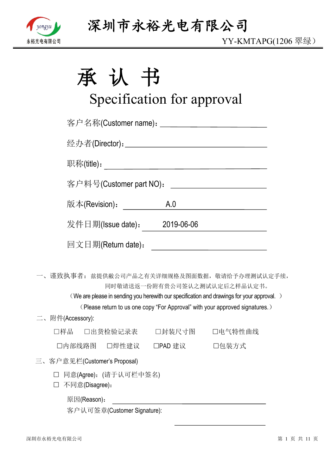

| 承 | 认 | $\overrightarrow{H}$<br>IJ |
|---|---|----------------------------|
|   |   |                            |

# Specification for approval

|                       |                         | 客户名称(Customer name): _________________________________ |                                                                                                                                                                                                                           |
|-----------------------|-------------------------|--------------------------------------------------------|---------------------------------------------------------------------------------------------------------------------------------------------------------------------------------------------------------------------------|
|                       |                         |                                                        |                                                                                                                                                                                                                           |
|                       |                         |                                                        |                                                                                                                                                                                                                           |
|                       | 客户料号(Customer part NO): |                                                        | <u> 1980 - Jan James James Barbara, president e</u>                                                                                                                                                                       |
| 版本(Revision) <b>:</b> |                         | A.0                                                    |                                                                                                                                                                                                                           |
|                       |                         | 发件日期(Issue date): 2019-06-06                           |                                                                                                                                                                                                                           |
| 回文日期(Return date):    |                         |                                                        |                                                                                                                                                                                                                           |
|                       |                         | 同时敬请送返一份附有贵公司签认之测试认定后之样品认定书。                           | 一、谨致执事者: 兹提供敝公司产品之有关详细规格及图面数据, 敬请给予办理测试认定手续,<br>(We are please in sending you herewith our specification and drawings for your approval.)<br>(Please return to us one copy "For Approval" with your approved signatures.) |
| 二、附件(Accessory):      |                         |                                                        |                                                                                                                                                                                                                           |
| 口样品 口出货检验记录表          |                         | □封装尺寸图                                                 | 口电气特性曲线                                                                                                                                                                                                                   |
| 口内部线路图  口焊性建议         |                         | □PAD 建议                                                | □包装方式                                                                                                                                                                                                                     |

- 三、客户意见栏(Customer's Proposal)
	- 同意(Agree):(请于认可栏中签名)
	- 不同意(Disagree):
		- 原因(Reason):

客户认可签章(Customer Signature):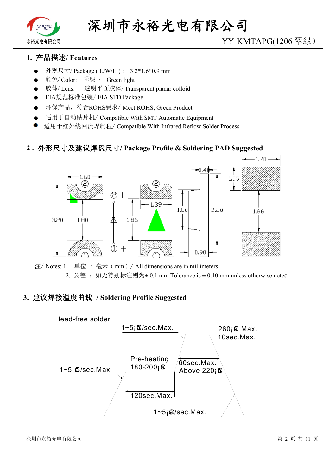

## YY-KMTAPG(1206 翠绿)

#### **1. 产品描述/ Features**

- 外观尺寸/ Package ( L/W/H ) : 3.2\*1.6\*0.9 mm
- 颜色/ Color: 翠绿 / Green light
- 胶体/ Lens: 透明平面胶体/ Transparent planar colloid
- EIA规范标准包装/ EIA STD Package
- 环保产品,符合ROHS要求/ Meet ROHS, Green Product
- 适用于自动贴片机/ Compatible With SMT Automatic Equipment
- 适用于红外线回流焊制程/ Compatible With Infrared Reflow Solder Process

#### **2 . 外形尺寸及建议焊盘尺寸/ Package Profile & Soldering PAD Suggested**



注/ Notes: 1. 单位 : 毫米(mm)/ All dimensions are in millimeters 2. 公差: 如无特别标注则为 $\pm$  0.1 mm Tolerance is  $\pm$  0.10 mm unless otherwise noted

#### **3. 建议焊接温度曲线 / Soldering Profile Suggested**

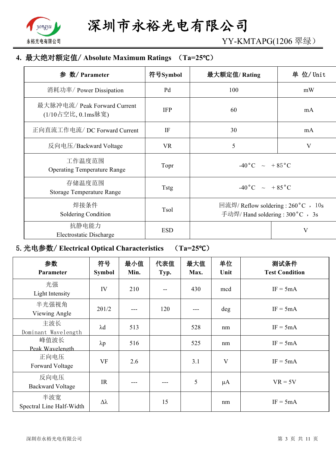

YY-KMTAPG(1206 翠绿)

## **4. 最大绝对额定值/ Absolute Maximum Ratings (Ta=25℃)**

| 参 数/ Parameter                                     | 符号Symbol    | 最大额定值/Rating                                                             | 单 位/ Unit               |
|----------------------------------------------------|-------------|--------------------------------------------------------------------------|-------------------------|
| 消耗功率/ Power Dissipation                            | Pd          | 100                                                                      | mW                      |
| 最大脉冲电流/ Peak Forward Current<br>(1/10占空比, 0.1ms脉宽) | <b>IFP</b>  | 60                                                                       | mA                      |
| 正向直流工作电流/DC Forward Current                        | IF          | 30                                                                       | mA                      |
| 反向电压/Backward Voltage                              | <b>VR</b>   | 5                                                                        | $\overline{\mathsf{V}}$ |
| 工作温度范围<br><b>Operating Temperature Range</b>       | Topr        | $-40\degree C$ $\sim$ $+85\degree C$                                     |                         |
| 存储温度范围<br><b>Storage Temperature Range</b>         | <b>Tstg</b> | $-40\degree C$ $\sim$ $+85\degree C$                                     |                         |
| 焊接条件<br>Soldering Condition                        | Tsol        | 回流焊/ Reflow soldering : 260 °C , 10s<br>手动焊/ Hand soldering : 300 °C, 3s |                         |
| 抗静电能力<br>Electrostatic Discharge                   | <b>ESD</b>  |                                                                          | V                       |

## **5.光电参数/ Electrical Optical Characteristics (Ta=25℃)**

| 参数<br>Parameter                 | 符号<br><b>Symbol</b> | 最小值<br>Min. | 代表值<br>Typ. | 最大值<br>Max. | 单位<br>Unit | 测试条件<br><b>Test Condition</b> |
|---------------------------------|---------------------|-------------|-------------|-------------|------------|-------------------------------|
| 光强<br>Light Intensity           | IV                  | 210         |             | 430         | mcd        | $IF = 5mA$                    |
| 半光强视角<br>Viewing Angle          | $2\theta$ 1/2       |             | 120         |             | deg        | $IF = 5mA$                    |
| 主波长<br>Dominant Wavelength      | $\lambda$ d         | 513         |             | 528         | nm         | $IF = 5mA$                    |
| 峰值波长<br>Peak Wavelength         | $\lambda p$         | 516         |             | 525         | nm         | $IF = 5mA$                    |
| 正向电压<br>Forward Voltage         | VF                  | 2.6         |             | 3.1         | V          | $IF = 5mA$                    |
| 反向电压<br><b>Backward Voltage</b> | IR                  |             |             | 5           | $\mu A$    | $VR = 5V$                     |
| 半波宽<br>Spectral Line Half-Width | Δλ                  |             | 15          |             | nm         | $IF = 5mA$                    |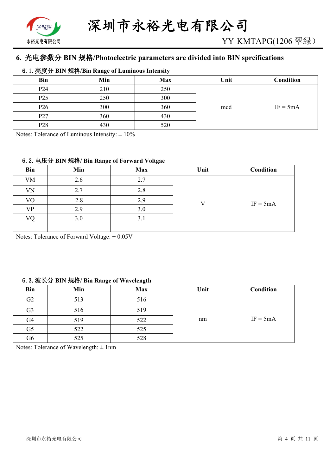

## **6. 光电参数分 BIN 规格/Photoelectric parameters are divided into BIN sprcifications**

#### **6.1.亮度分 BIN 规格/Bin Range of Luminous Intensity**

| <b>Bin</b>      | Min | <b>Max</b> | Unit | <b>Condition</b> |
|-----------------|-----|------------|------|------------------|
| P <sub>24</sub> | 210 | 250        |      |                  |
| P <sub>25</sub> | 250 | 300        |      |                  |
| P <sub>26</sub> | 300 | 360        | mcd  | $IF = 5mA$       |
| P <sub>27</sub> | 360 | 430        |      |                  |
| P <sub>28</sub> | 430 | 520        |      |                  |

Notes: Tolerance of Luminous Intensity:  $\pm 10\%$ 

#### **6.2.电压分 BIN 规格/ Bin Range of Forward Voltgae**

| <b>Bin</b> | Min | <b>Max</b> | Unit | Condition  |
|------------|-----|------------|------|------------|
| <b>VM</b>  | 2.6 | 2.7        |      |            |
| VN         | 2.7 | 2.8        |      |            |
| VO         | 2.8 | 2.9        |      | $IF = 5mA$ |
| VP         | 2.9 | 3.0        |      |            |
| VO         | 3.0 | 3.1        |      |            |
|            |     |            |      |            |

Notes: Tolerance of Forward Voltage:  $\pm 0.05V$ 

#### **6.3.波长分 BIN 规格/ Bin Range of Wavelength**

| <b>Bin</b>     | Min | <b>Max</b> | Unit | Condition  |
|----------------|-----|------------|------|------------|
| G2             | 513 | 516        |      |            |
| G <sub>3</sub> | 516 | 519        |      |            |
| G <sub>4</sub> | 519 | 522        | nm   | $IF = 5mA$ |
| G <sub>5</sub> | 522 | 525        |      |            |
| G6             | 525 | 528        |      |            |

Notes: Tolerance of Wavelength: ± 1nm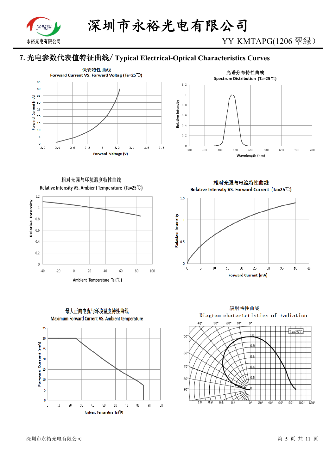

YY-KMTAPG(1206 翠绿)

## **7.光电参数代表值特征曲线/ Typical Electrical-Optical Characteristics Curves**





相对光强与环境温度特性曲线 Relative Intensity VS. Ambient Temperature (Ta=25°C)



最大正向电流与环境温度特性曲线 Maximum Forward Current VS. Ambient temperature 35  $30$ ś  $\overline{0}$  $10$  $70$  $\,0\,$  $20$  $30$  $\overline{41}$  $50$ 60  $80$  $90<sub>1</sub>$ 100 Ambient Temperature Ta (°C)

相对光强与电流特性曲线 Relative Intensity VS. Forward Current (Ta=25°C)



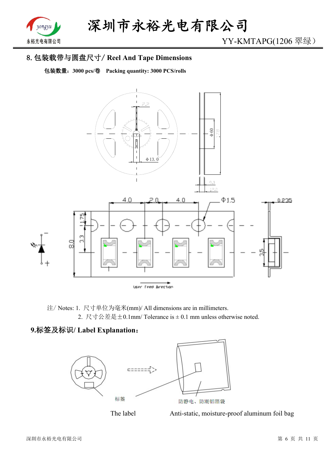

## **8.包装载带与圆盘尺寸/ Reel And Tape Dimensions**

**包装数量:3000 pcs/卷 Packing quantity: 3000 PCS/rolls**



注/ Notes: 1. 尺寸单位为毫米(mm)/ All dimensions are in millimeters. 2. 尺寸公差是±0.1mm/ Tolerance is ± 0.1 mm unless otherwise noted.

#### **9.标签及标识/ Label Explanation:**



The label Anti-static, moisture-proof aluminum foil bag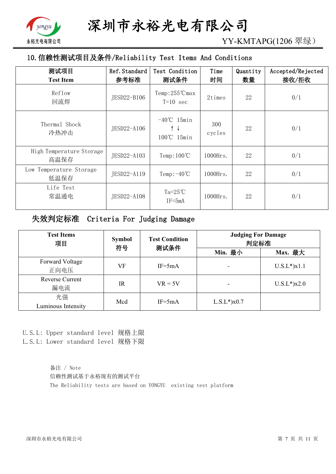

YY-KMTAPG(1206 翠绿)

## **10.信赖性测试项目及条件/Reliability Test Items And Conditions**

| 测试项目<br><b>Test Item</b>         | Ref. Standard<br>参考标准 | Test Condition<br>测试条件                                       | Time<br>时间    | Quantity<br>数量 | Accepted/Rejected<br>接收/拒收 |
|----------------------------------|-----------------------|--------------------------------------------------------------|---------------|----------------|----------------------------|
| Reflow<br>回流焊                    | JESD22-B106           | Temp: 255°C max<br>$T=10$ sec                                | 2times        | 22             | 0/1                        |
| Thermal Shock<br>冷热冲击            | JESD22-A106           | $-40^{\circ}$ C 15min<br>$\uparrow \downarrow$<br>100℃ 15min | 300<br>cycles | 22             | 0/1                        |
| High Temperature Storage<br>高温保存 | JESD22-A103           | Temp: $100^{\circ}$ C                                        | 1000Hrs.      | 22             | 0/1                        |
| Low Temperature Storage<br>低温保存  | JESD22-A119           | Temp: $-40^{\circ}$ C                                        | $1000$ Hrs.   | 22             | 0/1                        |
| Life Test<br>常温通电                | JESD22-A108           | Ta= $25^{\circ}$ C<br>$IF = 5mA$                             | $1000$ Hrs.   | 22             | 0/1                        |

#### **失效判定标准 Criteria For Judging Damage**

| <b>Test Items</b><br>项目       | <b>Symbol</b><br>符号 | <b>Test Condition</b><br>测试条件 | <b>Judging For Damage</b><br>判定标准 |                    |
|-------------------------------|---------------------|-------------------------------|-----------------------------------|--------------------|
|                               |                     |                               | Min. 最小                           | Max. 最大            |
| Forward Voltage<br>正向电压       | VF                  | $IF = 5mA$                    |                                   | $U.S.L^*$ ) $x1.1$ |
| <b>Reverse Current</b><br>漏电流 | $_{\rm IR}$         | $VR = 5V$                     |                                   | $U.S.L*$ )x2.0     |
| 光强<br>Luminous Intensity      | Mcd                 | $IF = 5mA$                    | $L.S.L^{*}$ ) $x0.7$              |                    |

## U.S.L: Upper standard level 规格上限

L.S.L: Lower standard level 规格下限

备注 / Note 信赖性测试基于永裕现有的测试平台 The Reliability tests are based on YONGYU existing test platform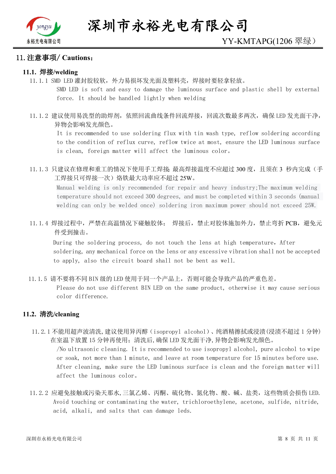

#### **11.注意事项/ Cautions:**

#### **11.1. 焊接/welding**

11.1.1 SMD LED 灌封胶较软,外力易损坏发光面及塑料壳,焊接时要轻拿轻放。

SMD LED is soft and easy to damage the luminous surface and plastic shell by external force. It should be handled lightly when welding

11.1.2 建议使用易洗型的助焊剂,依照回流曲线条件回流焊接,回流次数最多两次,确保 LED 发光面干净, 异物会影响发光颜色。

It is recommended to use soldering flux with tin wash type, reflow soldering according to the condition of reflux curve, reflow twice at most, ensure the LED luminous surface is clean, foreign matter will affect the luminous color。

11.1.3 只建议在修理和重工的情况下使用手工焊接; 最高焊接温度不应超过 300 度, 且须在 3 秒内完成(手 工焊接只可焊接一次)烙铁最大功率应不超过 25W。

Manual welding is only recommended for repair and heavy industry;The maximum welding temperature should not exceed 300 degrees, and must be completed within 3 seconds (manual welding can only be welded once) soldering iron maximum power should not exceed 25W.

11.1.4 焊接过程中,严禁在高温情况下碰触胶体; 焊接后,禁止对胶体施加外力,禁止弯折 PCB,避免元 件受到撞击。

During the soldering process, do not touch the lens at high temperature, After soldering, any mechanical force on the lens or any excessive vibration shall not be accepted to apply, also the circuit board shall not be bent as well.

11.1.5 请不要将不同 BIN 级的 LED 使用于同一个产品上,否则可能会导致产品的严重色差。

Please do not use different BIN LED on the same product, otherwise it may cause serious color difference.

#### **11.2. 清洗/cleaning**

11.2.1 不能用超声波清洗,建议使用异丙醇(isopropyl alcohol)、纯酒精擦拭或浸渍(浸渍不超过 1 分钟) 在室温下放置 15 分钟再使用;清洗后,确保 LED 发光面干净,异物会影响发光颜色。

/No ultrasonic cleaning. It is recommended to use isopropyl alcohol, pure alcohol to wipe or soak, not more than 1 minute, and leave at room temperature for 15 minutes before use. After cleaning, make sure the LED luminous surface is clean and the foreign matter will affect the luminous color。

11.2.2 应避免接触或污染天那水,三氯乙烯、丙酮、硫化物、氮化物、酸、碱、盐类,这些物质会损伤 LED. Avoid touching or contaminating the water, trichloroethylene, acetone, sulfide, nitride, acid, alkali, and salts that can damage leds.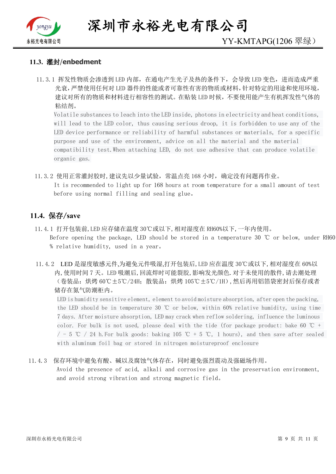

**深圳市永裕光电有限公司**

#### **11.3. 灌封**/**enbedment**

11.3.1 挥发性物质会渗透到 LED 内部, 在通电产生光子及热的条件下, 会导致 LED 变色, 进而造成严重 光衰,严禁使用任何对 LED 器件的性能或者可靠性有害的物质或材料,针对特定的用途和使用环境, 建议对所有的物质和材料进行相容性的测试。在贴装 LED 时候,不要使用能产生有机挥发性气体的 粘结剂。

Volatile substances to leach into the LED inside, photons in electricity and heat conditions, will lead to the LED color, thus causing serious droop, it is forbidden to use any of the LED device performance or reliability of harmful substances or materials, for a specific purpose and use of the environment, advice on all the material and the material compatibility test.When attaching LED, do not use adhesive that can produce volatile organic gas.

11.3.2 使用正常灌封胶时,建议先以少量试验,常温点亮 168 小时,确定没有问题再作业。 It is recommended to light up for 168 hours at room temperature for a small amount of test before using normal filling and sealing glue。

#### **11.4. 保存/save**

- 11.4.1 打开包装前,LED 应存储在温度 30℃或以下,相对湿度在 RH60%以下,一年内使用。 Before opening the package, LED should be stored in a temperature 30 ℃ or below, under RH60 % relative humidity, used in a year。
- 11.4.2 LED 是湿度敏感元件,为避免元件吸湿,打开包装后,LED 应在温度 30℃或以下,相对湿度在 60%以 内,使用时间 7 天。LED 吸潮后,回流焊时可能裂胶,影响发光颜色.对于未使用的散件,请去潮处理 (卷装品:烘烤 60℃±5℃/24H;散装品:烘烤 105℃±5℃/1H),然后再用铝箔袋密封后保存或者 储存在氮气防潮柜内。

LED is humidity sensitive element, element to avoid moisture absorption, after open the packing, the LED should be in temperature 30 ℃ or below, within 60% relative humidity, using time 7 days. After moisture absorption, LED may crack when reflow soldering, influence the luminous color. For bulk is not used, please deal with the tide (for package product: bake 60 °C +  $/$  - 5 °C  $/$  24 h. For bulk goods: baking 105 °C + 5 °C, 1 hours), and then save after sealed with aluminum foil bag or stored in nitrogen moistureproof enclosure

#### 11.4.3 保存环境中避免有酸、碱以及腐蚀气体存在,同时避免强烈震动及强磁场作用。

Avoid the presence of acid, alkali and corrosive gas in the preservation environment, and avoid strong vibration and strong magnetic field。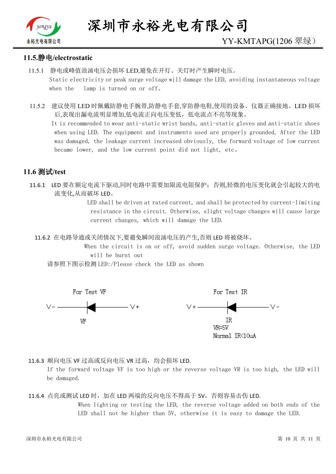

#### **11.5.静电/electrostatic**

- 11.5.1 静电或峰值浪涌电压会损坏 LED,避免在开灯、关灯时产生瞬时电压。 Static electricity or peak surge voltage will damage the LED, avoiding instantaneous voltage when the lamp is turned on or off。
- 11.5.2 建议使用 LED 时佩戴防静电手腕带,防静电手套,穿防静电鞋,使用的设备、仪器正确接地。LED 损坏 后,表现出漏电流明显增加,低电流正向电压变低,低电流点不亮等现象。

 It is recommended to wear anti-static wrist bands, anti-static gloves and anti-static shoes when using LED. The equipment and instruments used are properly grounded. After the LED was damaged, the leakage current increased obviously, the forward voltage of low current became lower, and the low current point did not light, etc。

#### **11.6 测试/test**

11.6.1 LED 要在额定电流下驱动,同时电路中需要加限流电阻保护;否则,轻微的电压变化就会引起较大的电 流变化,从而破坏 LED。

> LED shall be driven at rated current, and shall be protected by current-limiting resistance in the circuit. Otherwise, slight voltage changes will cause large current changes, which will damage the LED.

11.6.2 在电路导通或关闭情况下,要避免瞬间浪涌电压的产生,否则 LED 将被烧坏。

 When the circuit is on or off, avoid sudden surge voltage. Otherwise, the LED will be burnt out

请参照下图示检测 LED:/Please check the LED as shown



11.6.3 顺向电压 VF 过高或反向电压 VR 过高, 均会损坏 LED.

If the forward voltage VF is too high or the reverse voltage VR is too high, the LED will be damaged.

<sup>11.6.4</sup> 点亮或测试 LED 时, 加在 LED 两端的反向电压不得高于 5V, 否则容易击伤 LED. When lighting or testing the LED, the reverse voltage added on both ends of the LED shall not be higher than 5V, otherwise it is easy to damage the LED.